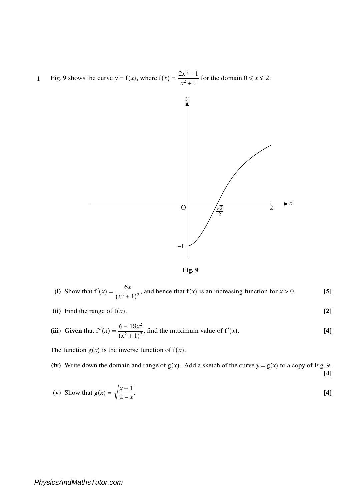**1** Fig. 9 shows the curve  $y = f(x)$ , where  $f(x) = \frac{2x^2 - 1}{x^2 + 1}$  $\frac{2x-1}{x^2+1}$  for the domain  $0 \le x \le 2$ .





(i) Show that 
$$
f'(x) = \frac{6x}{(x^2 + 1)^2}
$$
, and hence that  $f(x)$  is an increasing function for  $x > 0$ . [5]

(ii) Find the range of 
$$
f(x)
$$
. [2]

(iii) Given that 
$$
f''(x) = \frac{6 - 18x^2}{(x^2 + 1)^3}
$$
, find the maximum value of  $f'(x)$ . [4]

The function  $g(x)$  is the inverse function of  $f(x)$ .

(iv) Write down the domain and range of  $g(x)$ . Add a sketch of the curve  $y = g(x)$  to a copy of Fig. 9. **[4]**

(v) Show that 
$$
g(x) = \sqrt{\frac{x+1}{2-x}}
$$
. [4]